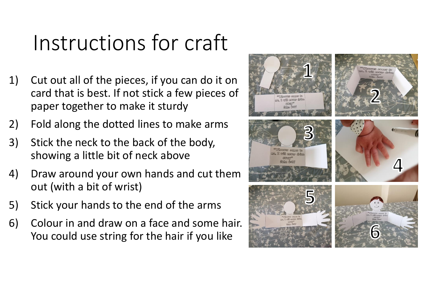## Instructions for craft

- 1) Cut out all of the pieces, if you can do it on card that is best. If not stick a few pieces of paper together to make it sturdy
- 2) Fold along the dotted lines to make arms
- 3) Stick the neck to the back of the body, showing a little bit of neck above
- 4) Draw around your own hands and cut them out (with a bit of wrist)
- 5) Stick your hands to the end of the arms
- 6) Colour in and draw on a face and some hair. You could use string for the hair if you like

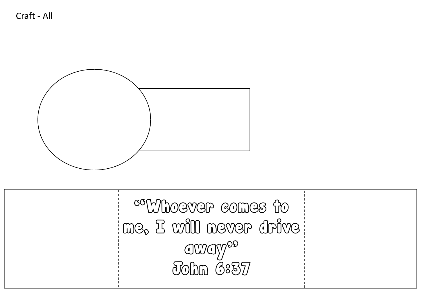

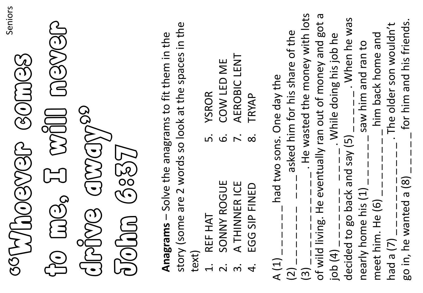| Seniors<br>SOLUOCONSOLUCIO                                                                                                                              |
|---------------------------------------------------------------------------------------------------------------------------------------------------------|
|                                                                                                                                                         |
| GROVE GWAYS                                                                                                                                             |
| Rese Coch                                                                                                                                               |
| story (some are 2 words so look at the spaces in the<br>Anagrams - Solve the anagrams to fit them in the<br>text)                                       |
| COW LED ME<br>YSROR<br>$\dot{\mathsf{n}}$<br>$\dot{\mathbf{\omega}}$<br>SONNY ROGUE<br>REF HAT<br>$\overline{\mathbf{C}}$                               |
| AEROBIC LENT<br>TRYAP<br>$\overline{r}$ .<br>$\infty$<br>A THINNER ICE<br>EGG SIP FINED<br>$\dot{\mathsf{n}}$<br>$\dot{4}$                              |
| A $(1)$ $_{---}$ $_{---}$ had two sons. One day the                                                                                                     |
| $(2)$                                                                                                                                                   |
| - . He wasted the money with lots<br>of wild living. He eventually ran out of money and got a<br>$\frac{1}{1}$<br>$\begin{array}{c} (3) \\ \end{array}$ |
| . While doing his job he<br>job(4)                                                                                                                      |
| - When he was<br>decided to go back and say (5) _                                                                                                       |
| nearly home his (1) _ _ _ _ _ saw him and ran to                                                                                                        |
| meet him. He $(6)$ $_{---}$ $_{---}$ him back home and                                                                                                  |
| $had$ a $(7)$ $-$                                                                                                                                       |
| had a (7) _ _ _ _ _ _ _ _ _ _ _ The older son wouldn't<br>go in, he wanted a (8) _ _ _ _ for him and his friends.                                       |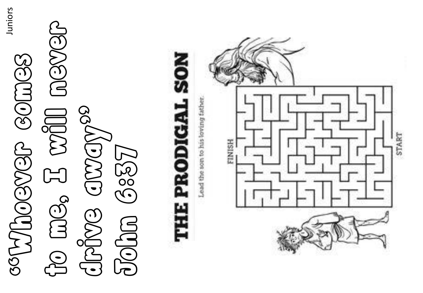to me, I will never aes H will aever SSCLUOS SCOLUCTION "Whoever comes drive aways 10000 



Juniors